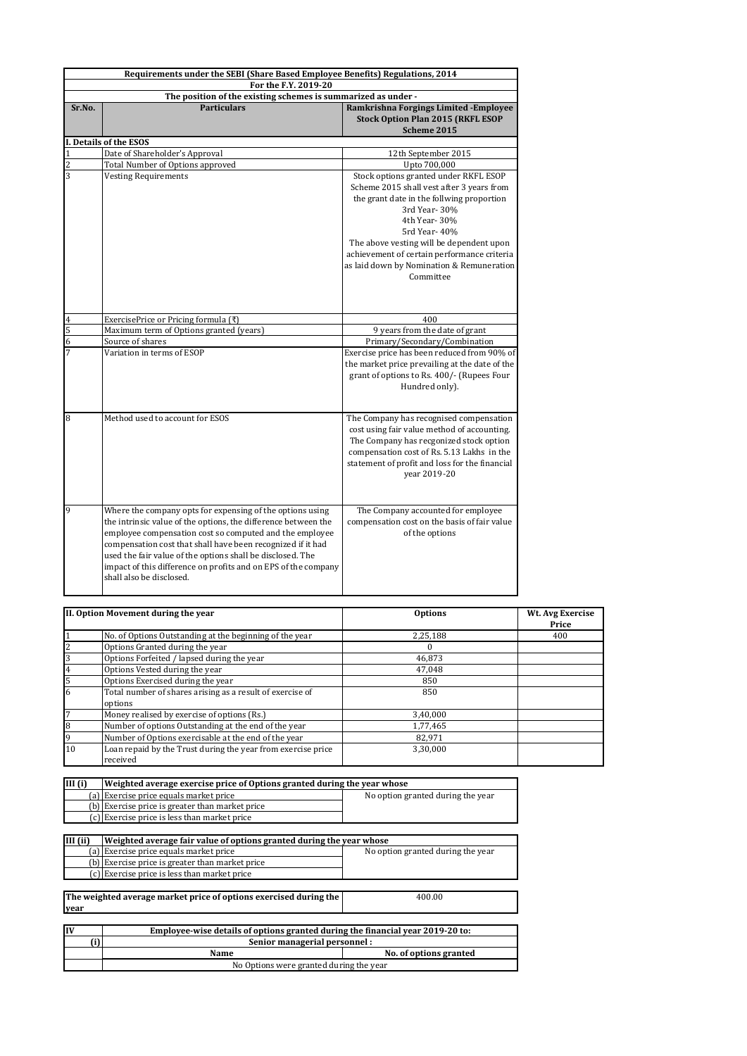| Requirements under the SEBI (Share Based Employee Benefits) Regulations, 2014         |                                                                |                                                                                        |
|---------------------------------------------------------------------------------------|----------------------------------------------------------------|----------------------------------------------------------------------------------------|
| For the F.Y. 2019-20<br>The position of the existing schemes is summarized as under - |                                                                |                                                                                        |
| Sr.No.                                                                                | <b>Particulars</b>                                             | Ramkrishna Forgings Limited - Employee                                                 |
|                                                                                       |                                                                | <b>Stock Option Plan 2015 (RKFL ESOP</b>                                               |
|                                                                                       |                                                                | Scheme 2015                                                                            |
|                                                                                       | I. Details of the ESOS                                         |                                                                                        |
| $\mathbf 1$                                                                           | Date of Shareholder's Approval                                 | 12th September 2015                                                                    |
| $\overline{c}$                                                                        | Total Number of Options approved                               | Upto 700,000                                                                           |
| $\overline{3}$                                                                        | <b>Vesting Requirements</b>                                    | Stock options granted under RKFL ESOP                                                  |
|                                                                                       |                                                                | Scheme 2015 shall vest after 3 years from                                              |
|                                                                                       |                                                                | the grant date in the follwing proportion                                              |
|                                                                                       |                                                                | 3rd Year-30%                                                                           |
|                                                                                       |                                                                | 4th Year- 30%                                                                          |
|                                                                                       |                                                                | 5rd Year- 40%                                                                          |
|                                                                                       |                                                                | The above vesting will be dependent upon                                               |
|                                                                                       |                                                                | achievement of certain performance criteria                                            |
|                                                                                       |                                                                | as laid down by Nomination & Remuneration                                              |
|                                                                                       |                                                                | Committee                                                                              |
|                                                                                       |                                                                |                                                                                        |
|                                                                                       |                                                                |                                                                                        |
| 4                                                                                     | ExercisePrice or Pricing formula (₹)                           | 400                                                                                    |
| 5                                                                                     | Maximum term of Options granted (years)                        | 9 years from the date of grant                                                         |
| $\overline{6}$                                                                        | Source of shares                                               | Primary/Secondary/Combination                                                          |
| 7                                                                                     | Variation in terms of ESOP                                     | Exercise price has been reduced from 90% of                                            |
|                                                                                       |                                                                | the market price prevailing at the date of the                                         |
|                                                                                       |                                                                | grant of options to Rs. 400/- (Rupees Four                                             |
|                                                                                       |                                                                | Hundred only).                                                                         |
|                                                                                       |                                                                |                                                                                        |
| 8                                                                                     | Method used to account for ESOS                                |                                                                                        |
|                                                                                       |                                                                | The Company has recognised compensation<br>cost using fair value method of accounting. |
|                                                                                       |                                                                | The Company has recgonized stock option                                                |
|                                                                                       |                                                                | compensation cost of Rs. 5.13 Lakhs in the                                             |
|                                                                                       |                                                                | statement of profit and loss for the financial                                         |
|                                                                                       |                                                                | year 2019-20                                                                           |
|                                                                                       |                                                                |                                                                                        |
|                                                                                       |                                                                |                                                                                        |
| 9                                                                                     | Where the company opts for expensing of the options using      | The Company accounted for employee                                                     |
|                                                                                       | the intrinsic value of the options, the difference between the | compensation cost on the basis of fair value                                           |
|                                                                                       | employee compensation cost so computed and the employee        | of the options                                                                         |
|                                                                                       | compensation cost that shall have been recognized if it had    |                                                                                        |
|                                                                                       | used the fair value of the options shall be disclosed. The     |                                                                                        |
|                                                                                       | impact of this difference on profits and on EPS of the company |                                                                                        |
|                                                                                       | shall also be disclosed.                                       |                                                                                        |

| II. Option Movement during the year |                                                              | <b>Options</b> | Wt. Avg Exercise<br>Price |
|-------------------------------------|--------------------------------------------------------------|----------------|---------------------------|
|                                     | No. of Options Outstanding at the beginning of the year      | 2,25,188       | 400                       |
| $\overline{c}$                      | Options Granted during the year                              |                |                           |
| 3                                   | Options Forfeited / lapsed during the year                   | 46,873         |                           |
| 4                                   | Options Vested during the year                               | 47,048         |                           |
| 5                                   | Options Exercised during the year                            | 850            |                           |
| 6                                   | Total number of shares arising as a result of exercise of    | 850            |                           |
|                                     | options                                                      |                |                           |
| $\overline{7}$                      | Money realised by exercise of options (Rs.)                  | 3,40,000       |                           |
| 8                                   | Number of options Outstanding at the end of the year         | 1,77,465       |                           |
| 9                                   | Number of Options exercisable at the end of the year         | 82.971         |                           |
| 10                                  | Loan repaid by the Trust during the year from exercise price | 3.30.000       |                           |
|                                     | received                                                     |                |                           |

| III(i) | Weighted average exercise price of Options granted during the year whose |                                   |
|--------|--------------------------------------------------------------------------|-----------------------------------|
|        | (a) Exercise price equals market price                                   | No option granted during the year |
|        | (b) Exercise price is greater than market price                          |                                   |
|        | (c) Exercise price is less than market price                             |                                   |

| III (ii)                                                                    | Weighted average fair value of options granted during the year whose           |                                   |  |
|-----------------------------------------------------------------------------|--------------------------------------------------------------------------------|-----------------------------------|--|
|                                                                             | (a) Exercise price equals market price                                         | No option granted during the year |  |
|                                                                             | Exercise price is greater than market price                                    |                                   |  |
|                                                                             | (c) Exercise price is less than market price                                   |                                   |  |
|                                                                             |                                                                                |                                   |  |
| The weighted average market price of options exercised during the<br>400.00 |                                                                                |                                   |  |
| year                                                                        |                                                                                |                                   |  |
|                                                                             |                                                                                |                                   |  |
| İIV                                                                         | Employee-wise details of options granted during the financial year 2019-20 to: |                                   |  |
| ʻi)                                                                         | Senior managerial personnel :                                                  |                                   |  |
|                                                                             | Name                                                                           | No. of options granted            |  |

No Options were granted during the year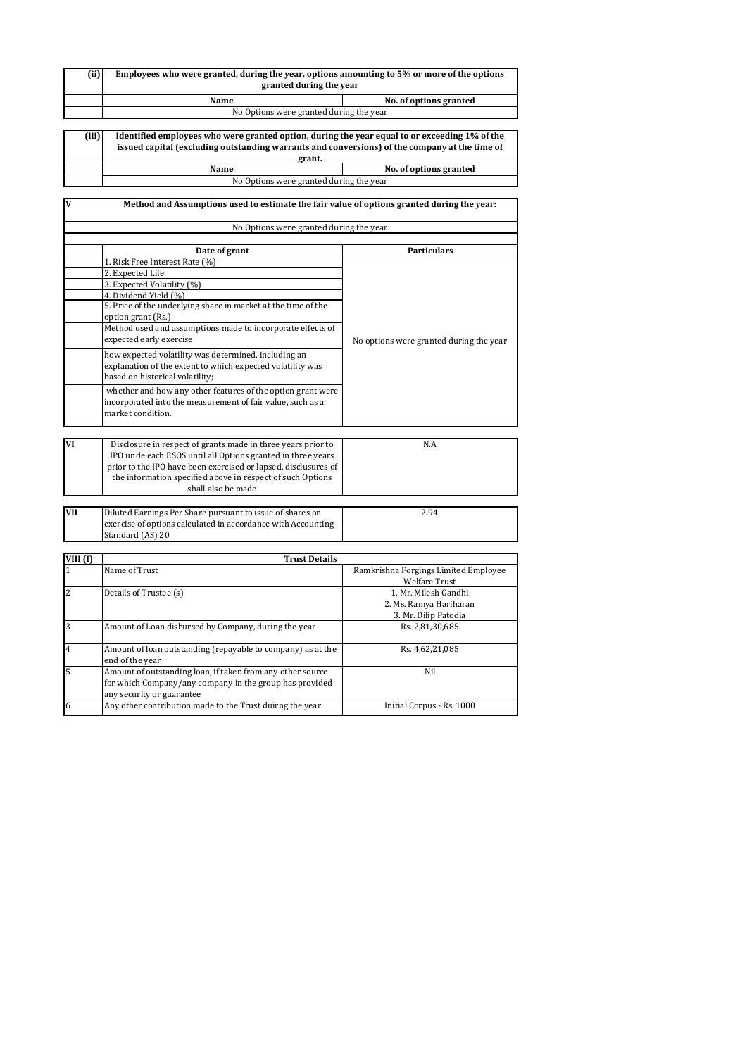| (ii)  | Employees who were granted, during the year, options amounting to 5% or more of the options<br>granted during the year |                        |
|-------|------------------------------------------------------------------------------------------------------------------------|------------------------|
|       | Name                                                                                                                   | No. of options granted |
|       | No Options were granted during the year                                                                                |                        |
|       |                                                                                                                        |                        |
| (iii) | Identified employees who were granted option, during the year equal to or exceeding 1% of the                          |                        |

| issued capital (excluding outstanding warrants and conversions) of the company at the time of |  |  |
|-----------------------------------------------------------------------------------------------|--|--|
| grant.                                                                                        |  |  |
| No. of options granted<br>Name                                                                |  |  |
|                                                                                               |  |  |

No Options were granted during the year

| V                          | Method and Assumptions used to estimate the fair value of options granted during the year:                                    |                                         |  |
|----------------------------|-------------------------------------------------------------------------------------------------------------------------------|-----------------------------------------|--|
|                            | No Options were granted during the year                                                                                       |                                         |  |
|                            |                                                                                                                               |                                         |  |
|                            | Date of grant                                                                                                                 | <b>Particulars</b>                      |  |
|                            | 1. Risk Free Interest Rate (%)                                                                                                |                                         |  |
|                            | 2. Expected Life                                                                                                              |                                         |  |
|                            | 3. Expected Volatility (%)                                                                                                    |                                         |  |
|                            | 4. Dividend Yield (%)                                                                                                         |                                         |  |
|                            | 5. Price of the underlying share in market at the time of the                                                                 |                                         |  |
|                            | option grant (Rs.)                                                                                                            |                                         |  |
|                            | Method used and assumptions made to incorporate effects of                                                                    |                                         |  |
|                            | expected early exercise                                                                                                       | No options were granted during the year |  |
|                            | how expected volatility was determined, including an                                                                          |                                         |  |
|                            | explanation of the extent to which expected volatility was                                                                    |                                         |  |
|                            | based on historical volatility;                                                                                               |                                         |  |
|                            | whether and how any other features of the option grant were                                                                   |                                         |  |
|                            | incorporated into the measurement of fair value, such as a                                                                    |                                         |  |
|                            | market condition.                                                                                                             |                                         |  |
|                            |                                                                                                                               |                                         |  |
| VI                         |                                                                                                                               |                                         |  |
|                            | Disclosure in respect of grants made in three years prior to                                                                  | N.A                                     |  |
|                            | IPO unde each ESOS until all Options granted in three years<br>prior to the IPO have been exercised or lapsed, disclusures of |                                         |  |
|                            | the information specified above in respect of such Options                                                                    |                                         |  |
|                            | shall also be made                                                                                                            |                                         |  |
|                            |                                                                                                                               |                                         |  |
| <b>VII</b>                 | Diluted Earnings Per Share pursuant to issue of shares on                                                                     | 2.94                                    |  |
|                            | exercise of options calculated in accordance with Accounting                                                                  |                                         |  |
|                            | Standard (AS) 20                                                                                                              |                                         |  |
|                            |                                                                                                                               |                                         |  |
| VIII $(I)$<br>$\mathbf{1}$ | <b>Trust Details</b><br>Name of Trust                                                                                         | Ramkrishna Forgings Limited Employee    |  |
|                            |                                                                                                                               | <b>Welfare Trust</b>                    |  |
| $\overline{c}$             | Details of Trustee (s)                                                                                                        | 1. Mr. Milesh Gandhi                    |  |
|                            |                                                                                                                               | 2. Ms. Ramya Hariharan                  |  |
|                            |                                                                                                                               | 3. Mr. Dilip Patodia                    |  |
| 3                          | Amount of Loan disbursed by Company, during the year                                                                          | Rs. 2,81,30,685                         |  |
|                            |                                                                                                                               |                                         |  |
| $\overline{4}$             | Amount of loan outstanding (repayable to company) as at the                                                                   | Rs. 4,62,21,085                         |  |
|                            | end of the year                                                                                                               |                                         |  |
| 5                          | Amount of outstanding loan, if taken from any other source                                                                    | Nil                                     |  |
|                            | for which Company/any company in the group has provided                                                                       |                                         |  |
|                            | any security or guarantee                                                                                                     |                                         |  |
| 6                          | Any other contribution made to the Trust duirng the year                                                                      | Initial Corpus - Rs. 1000               |  |